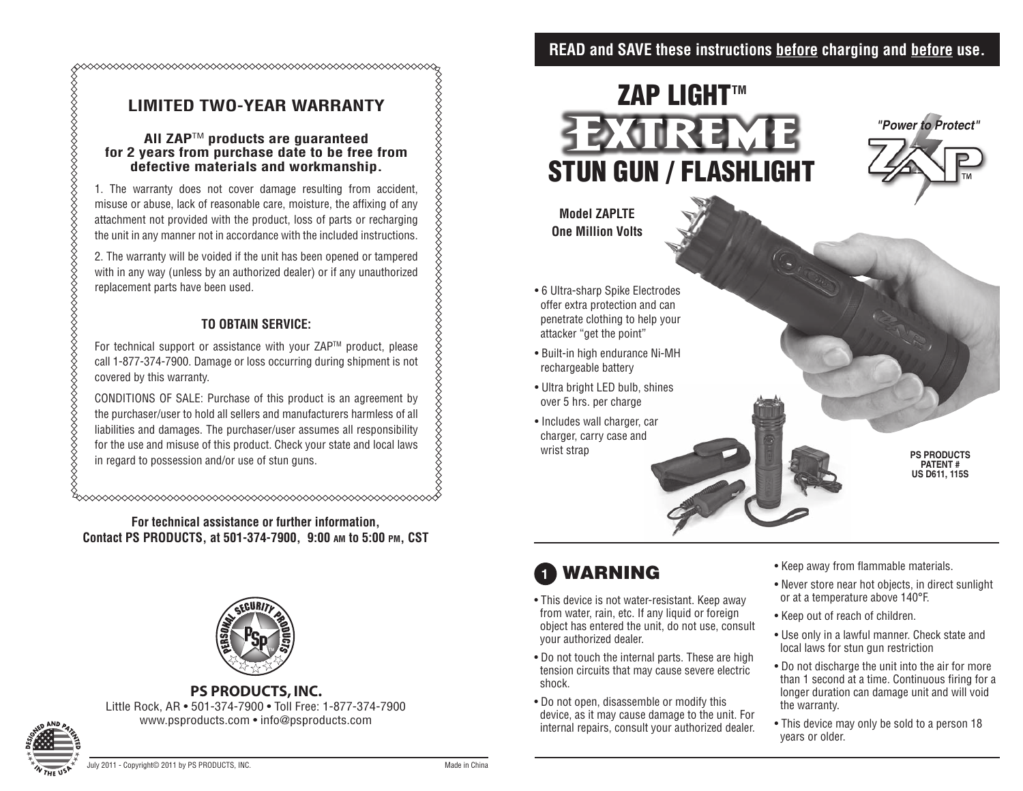### **READ and SAVE these instructions before charging and before use.**

### **LIMITED TWO-YEAR WARRANTY**

#### **All ZAP**TM **products are guaranteed for 2 years from purchase date to be free from defective materials and workmanship.**

1. The warranty does not cover damage resulting from accident, misuse or abuse, lack of reasonable care, moisture, the affixing of any attachment not provided with the product, loss of parts or recharging the unit in any manner not in accordance with the included instructions.

2. The warranty will be voided if the unit has been opened or tampered with in any way (unless by an authorized dealer) or if any unauthorized replacement parts have been used.

#### **TO OBTAIN SERVICE:**

For technical support or assistance with your ZAP™ product, please call 1-877-374-7900. Damage or loss occurring during shipment is not covered by this warranty.

CONDITIONS OF SALE: Purchase of this product is an agreement by the purchaser/user to hold all sellers and manufacturers harmless of all liabilities and damages. The purchaser/user assumes all responsibility for the use and misuse of this product. Check your state and local laws in regard to possession and/or use of stun guns.

**For technical assistance or further information, Contact PS PRODUCTS, at 501-374-7900, 9:00 am to 5:00 pm, CST**



#### **PS PRODUCTS, INC.**

Little Rock, AR • 501-374-7900 • Toll Free: 1-877-374-7900 www.psproducts.com • info@psproducts.com



%

# **ZAP LIGHT™** EXTREM STUN GUN / FLASHLIGHT



- 6 Ultra-sharp Spike Electrodes offer extra protection and can penetrate clothing to help your attacker "get the point"
- Built-in high endurance Ni-MH rechargeable battery
- Ultra bright LED bulb, shines over 5 hrs. per charge
- Includes wall charger, car charger, carry case and wrist strap

*"Power to Protect"*

**PS Products Patent # US D611, 115S**

## **1** warning

- This device is not water-resistant. Keep away from water, rain, etc. If any liquid or foreign object has entered the unit, do not use, consult your authorized dealer.
- Do not touch the internal parts. These are high tension circuits that may cause severe electric shock.
- Do not open, disassemble or modify this device, as it may cause damage to the unit. For internal repairs, consult your authorized dealer.
- Keep away from flammable materials.
- Never store near hot objects, in direct sunlight or at a temperature above 140°F.
- Keep out of reach of children.
- Use only in a lawful manner. Check state and local laws for stun gun restriction
- Do not discharge the unit into the air for more than 1 second at a time. Continuous firing for a longer duration can damage unit and will void the warranty.
- This device may only be sold to a person 18 years or older.